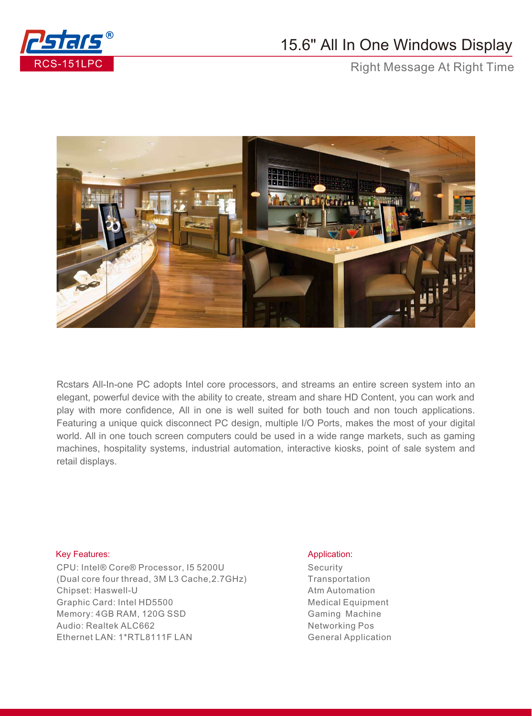

## 15.6" All In One Windows Display

Right Message At Right Time



Rcstars All-In-one PC adopts Intel core processors, and streams an entire screen system into an elegant, powerful device with the ability to create, stream and share HD Content, you can work and play with more confidence, All in one is well suited for both touch and non touch applications. Featuring a unique quick disconnect PC design, multiple I/O Ports, makes the most of your digital world. All in one touch screen computers could be used in a wide range markets, such as gaming machines, hospitality systems, industrial automation, interactive kiosks, point of sale system and retail displays.

## Key Features: Application: Application: Application: Application: Application: Application: Application: Application: Application: Application: Application: Application: Application: Application: Application: Application:

CPU: Intel® Core® Processor, I5 5200U (Dual core four thread, 3M L3 Cache,2.7GHz) Chipset: Haswell-U Graphic Card: Intel HD5500 Memory: 4GB RAM, 120G SSD Audio: Realtek ALC662 Ethernet LAN: 1\*RTL8111F LAN

**Security Transportation** Atm Automation Medical Equipment Gaming Machine Networking Pos General Application